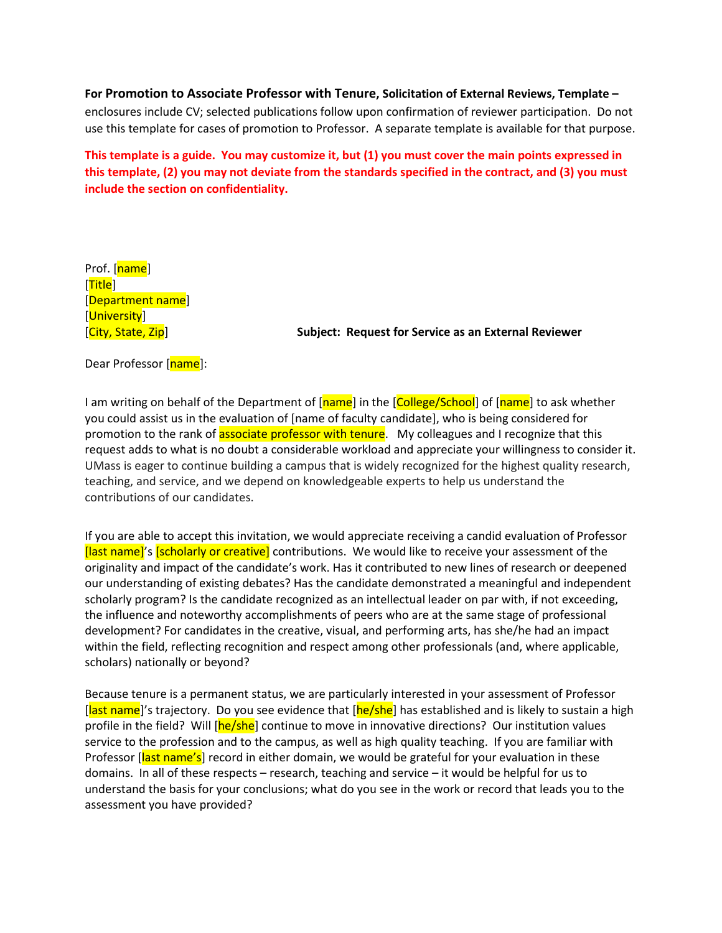**For Promotion to Associate Professor with Tenure, Solicitation of External Reviews, Template –** enclosures include CV; selected publications follow upon confirmation of reviewer participation. Do not use this template for cases of promotion to Professor. A separate template is available for that purpose.

**This template is a guide. You may customize it, but (1) you must cover the main points expressed in this template, (2) you may not deviate from the standards specified in the contract, and (3) you must include the section on confidentiality.**

Prof. [name] [Title] [Department name] [University]

[City, State, Zip] **Subject: Request for Service as an External Reviewer**

Dear Professor [name]:

I am writing on behalf of the Department of [name] in the [College/School] of [name] to ask whether you could assist us in the evaluation of [name of faculty candidate], who is being considered for promotion to the rank of **associate professor with tenure**. My colleagues and I recognize that this request adds to what is no doubt a considerable workload and appreciate your willingness to consider it. UMass is eager to continue building a campus that is widely recognized for the highest quality research, teaching, and service, and we depend on knowledgeable experts to help us understand the contributions of our candidates.

If you are able to accept this invitation, we would appreciate receiving a candid evaluation of Professor [last name]'s [scholarly or creative] contributions. We would like to receive your assessment of the originality and impact of the candidate's work. Has it contributed to new lines of research or deepened our understanding of existing debates? Has the candidate demonstrated a meaningful and independent scholarly program? Is the candidate recognized as an intellectual leader on par with, if not exceeding, the influence and noteworthy accomplishments of peers who are at the same stage of professional development? For candidates in the creative, visual, and performing arts, has she/he had an impact within the field, reflecting recognition and respect among other professionals (and, where applicable, scholars) nationally or beyond?

Because tenure is a permanent status, we are particularly interested in your assessment of Professor [last name]'s trajectory. Do you see evidence that [he/she] has established and is likely to sustain a high profile in the field? Will [he/she] continue to move in innovative directions? Our institution values service to the profession and to the campus, as well as high quality teaching. If you are familiar with Professor [last name's] record in either domain, we would be grateful for your evaluation in these domains. In all of these respects – research, teaching and service – it would be helpful for us to understand the basis for your conclusions; what do you see in the work or record that leads you to the assessment you have provided?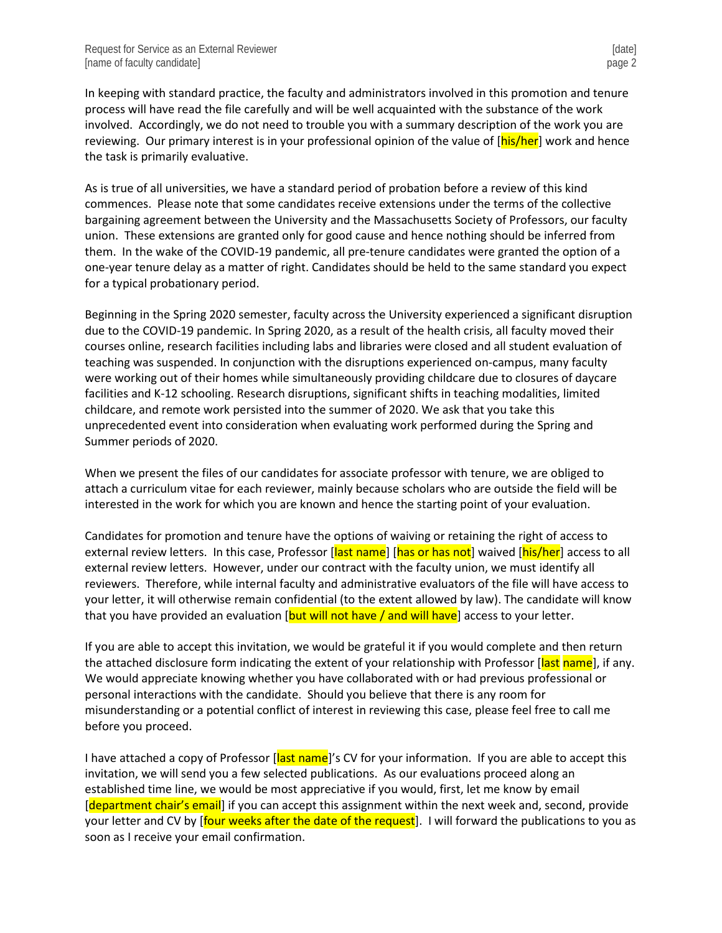In keeping with standard practice, the faculty and administrators involved in this promotion and tenure process will have read the file carefully and will be well acquainted with the substance of the work involved. Accordingly, we do not need to trouble you with a summary description of the work you are reviewing. Our primary interest is in your professional opinion of the value of [his/her] work and hence the task is primarily evaluative.

As is true of all universities, we have a standard period of probation before a review of this kind commences. Please note that some candidates receive extensions under the terms of the collective bargaining agreement between the University and the Massachusetts Society of Professors, our faculty union. These extensions are granted only for good cause and hence nothing should be inferred from them. In the wake of the COVID-19 pandemic, all pre-tenure candidates were granted the option of a one-year tenure delay as a matter of right. Candidates should be held to the same standard you expect for a typical probationary period.

Beginning in the Spring 2020 semester, faculty across the University experienced a significant disruption due to the COVID-19 pandemic. In Spring 2020, as a result of the health crisis, all faculty moved their courses online, research facilities including labs and libraries were closed and all student evaluation of teaching was suspended. In conjunction with the disruptions experienced on-campus, many faculty were working out of their homes while simultaneously providing childcare due to closures of daycare facilities and K-12 schooling. Research disruptions, significant shifts in teaching modalities, limited childcare, and remote work persisted into the summer of 2020. We ask that you take this unprecedented event into consideration when evaluating work performed during the Spring and Summer periods of 2020.

When we present the files of our candidates for associate professor with tenure, we are obliged to attach a curriculum vitae for each reviewer, mainly because scholars who are outside the field will be interested in the work for which you are known and hence the starting point of your evaluation.

Candidates for promotion and tenure have the options of waiving or retaining the right of access to external review letters. In this case, Professor [last name] [has or has not] waived [his/her] access to all external review letters. However, under our contract with the faculty union, we must identify all reviewers. Therefore, while internal faculty and administrative evaluators of the file will have access to your letter, it will otherwise remain confidential (to the extent allowed by law). The candidate will know that you have provided an evaluation  $\beta$  [but will not have / and will have] access to your letter.

If you are able to accept this invitation, we would be grateful it if you would complete and then return the attached disclosure form indicating the extent of your relationship with Professor [last name], if any. We would appreciate knowing whether you have collaborated with or had previous professional or personal interactions with the candidate. Should you believe that there is any room for misunderstanding or a potential conflict of interest in reviewing this case, please feel free to call me before you proceed.

I have attached a copy of Professor [last name]'s CV for your information. If you are able to accept this invitation, we will send you a few selected publications. As our evaluations proceed along an established time line, we would be most appreciative if you would, first, let me know by email [department chair's email] if you can accept this assignment within the next week and, second, provide your letter and CV by [four weeks after the date of the request]. I will forward the publications to you as soon as I receive your email confirmation.